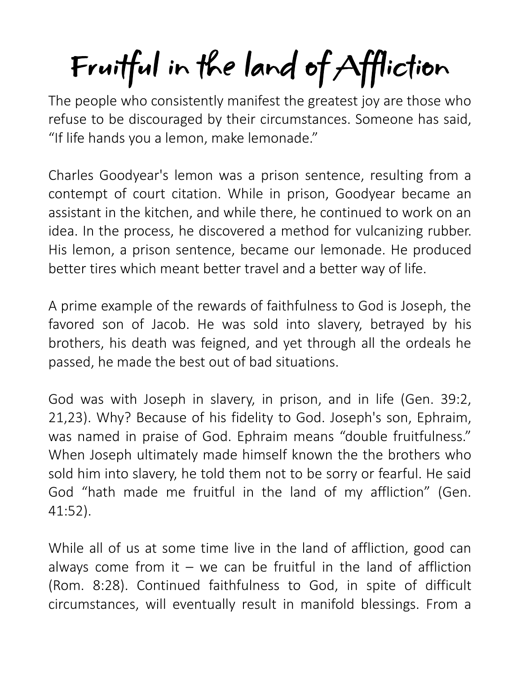## Fruitful in the land of Affliction

The people who consistently manifest the greatest joy are those who refuse to be discouraged by their circumstances. Someone has said, "If life hands you a lemon, make lemonade."

Charles Goodyear's lemon was a prison sentence, resulting from a contempt of court citation. While in prison, Goodyear became an assistant in the kitchen, and while there, he continued to work on an idea. In the process, he discovered a method for vulcanizing rubber. His lemon, a prison sentence, became our lemonade. He produced better tires which meant better travel and a better way of life.

A prime example of the rewards of faithfulness to God is Joseph, the favored son of Jacob. He was sold into slavery, betrayed by his brothers, his death was feigned, and yet through all the ordeals he passed, he made the best out of bad situations.

God was with Joseph in slavery, in prison, and in life (Gen. 39:2, 21,23). Why? Because of his fidelity to God. Joseph's son, Ephraim, was named in praise of God. Ephraim means "double fruitfulness." When Joseph ultimately made himself known the the brothers who sold him into slavery, he told them not to be sorry or fearful. He said God "hath made me fruitful in the land of my affliction" (Gen. 41:52).

While all of us at some time live in the land of affliction, good can always come from it  $-$  we can be fruitful in the land of affliction (Rom. 8:28). Continued faithfulness to God, in spite of difficult circumstances, will eventually result in manifold blessings. From a